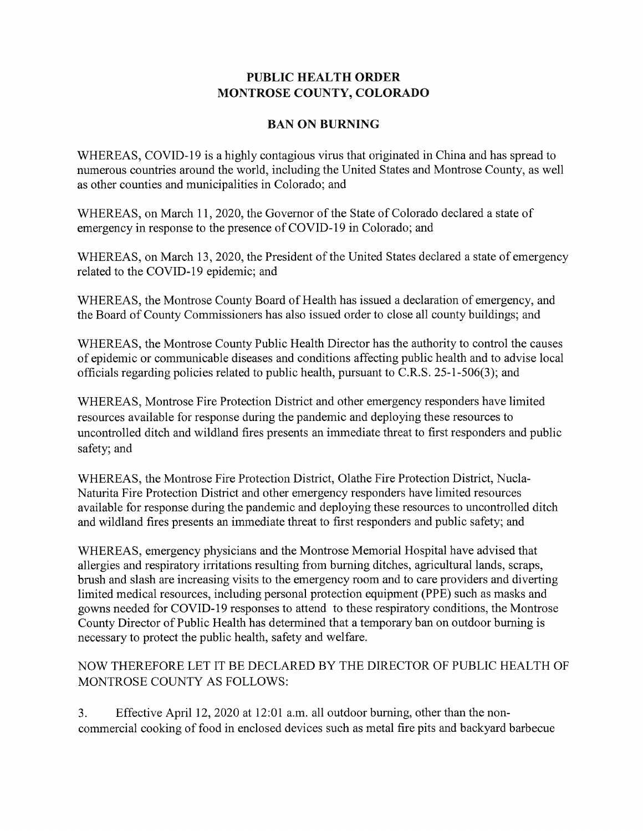## **PUBLIC HEALTH ORDER MONTROSE COUNTY, COLORADO**

## **BAN ON BURNING**

WHEREAS, COVID-19 is a highly contagious virus that originated in China and has spread to numerous countries around the world, including the United States and Montrose County, as well as other counties and municipalities in Colorado; and

WHEREAS, on March 11, 2020, the Governor of the State of Colorado declared a state of emergency in response to the presence of COVID-19 in Colorado; and

WHEREAS, on March 13, 2020, the President of the United States declared a state of emergency related to the COVID-19 epidemic; and

WHEREAS, the Montrose County Board of Health has issued a declaration of emergency, and the Board of County Commissioners has also issued order to close all county buildings; **and** 

WHEREAS, the Montrose County Public Health Director has the authority to control the causes of epidemic or communicable diseases and conditions affecting public health and to advise local officials regarding policies related to public health, pursuant to C.R.S. 25-1-506(3); and

WHEREAS, Montrose Fire Protection District and other emergency responders have limited resources available for response during the pandemic and deploying these resources to uncontrolled ditch and wildland fires presents an immediate threat to first responders and **public**  safety; and

WHEREAS, the Montrose Fire Protection District, Olathe Fire Protection District, Nucla-Naturita Fire Protection District and other emergency responders have limited resources available for response during the pandemic and deploying these resources to uncontrolled ditch and wildland fires presents an immediate threat to first responders and public safety; and

WHEREAS, emergency physicians and the Montrose Memorial Hospital have advised that allergies and respiratory irritations resulting from burning ditches, agricultural lands, scraps, brush and slash are increasing visits to the emergency room and to care providers and diverting limited medical resources, including personal protection equipment (PPE) such as masks and gowns needed for COVID-19 responses to attend to these respiratory conditions, the Montrose County Director of Public Health has determined that a temporary ban on outdoor burning is necessary to protect the public health, safety and welfare.

## NOW THEREFORE LET IT BE DECLARED BY **THE** DIRECTOR OF PUBLIC HEALTH OF MONTROSE COUNTY AS FOLLOWS:

3. Effective April 12, 2020 at 12:01 a.m. all outdoor burning, other than the noncommercial cooking of food in enclosed devices such as metal fire pits and backyard barbecue